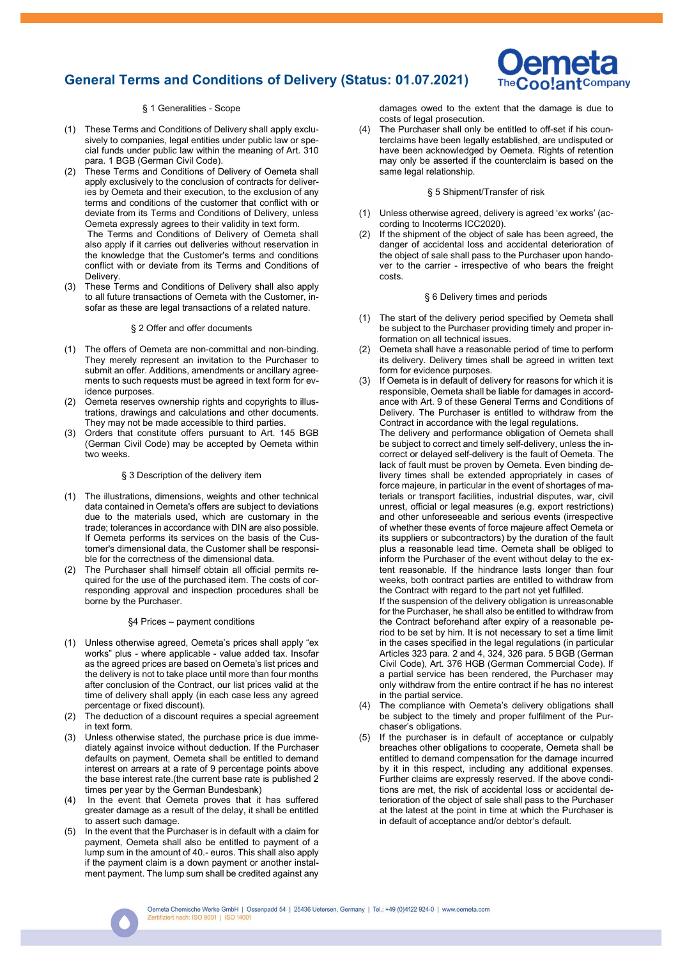# General Terms and Conditions of Delivery (Status: 01.07.2021)



## § 1 Generalities - Scope

- (1) These Terms and Conditions of Delivery shall apply exclusively to companies, legal entities under public law or special funds under public law within the meaning of Art. 310 para. 1 BGB (German Civil Code).
- (2) These Terms and Conditions of Delivery of Oemeta shall apply exclusively to the conclusion of contracts for deliveries by Oemeta and their execution, to the exclusion of any terms and conditions of the customer that conflict with or deviate from its Terms and Conditions of Delivery, unless Oemeta expressly agrees to their validity in text form.

 The Terms and Conditions of Delivery of Oemeta shall also apply if it carries out deliveries without reservation in the knowledge that the Customer's terms and conditions conflict with or deviate from its Terms and Conditions of **Delivery** 

(3) These Terms and Conditions of Delivery shall also apply to all future transactions of Oemeta with the Customer, insofar as these are legal transactions of a related nature.

### § 2 Offer and offer documents

- (1) The offers of Oemeta are non-committal and non-binding. They merely represent an invitation to the Purchaser to submit an offer. Additions, amendments or ancillary agreements to such requests must be agreed in text form for evidence purposes.
- (2) Oemeta reserves ownership rights and copyrights to illustrations, drawings and calculations and other documents. They may not be made accessible to third parties.
- (3) Orders that constitute offers pursuant to Art. 145 BGB (German Civil Code) may be accepted by Oemeta within two weeks.

#### § 3 Description of the delivery item

- (1) The illustrations, dimensions, weights and other technical data contained in Oemeta's offers are subject to deviations due to the materials used, which are customary in the trade; tolerances in accordance with DIN are also possible. If Oemeta performs its services on the basis of the Customer's dimensional data, the Customer shall be responsible for the correctness of the dimensional data.
- (2) The Purchaser shall himself obtain all official permits required for the use of the purchased item. The costs of corresponding approval and inspection procedures shall be borne by the Purchaser.

### §4 Prices – payment conditions

- (1) Unless otherwise agreed, Oemeta's prices shall apply "ex works" plus - where applicable - value added tax. Insofar as the agreed prices are based on Oemeta's list prices and the delivery is not to take place until more than four months after conclusion of the Contract, our list prices valid at the time of delivery shall apply (in each case less any agreed percentage or fixed discount).
- (2) The deduction of a discount requires a special agreement in text form.
- (3) Unless otherwise stated, the purchase price is due immediately against invoice without deduction. If the Purchaser defaults on payment, Oemeta shall be entitled to demand interest on arrears at a rate of 9 percentage points above the base interest rate.(the current base rate is published 2 times per year by the German Bundesbank)
- (4) In the event that Oemeta proves that it has suffered greater damage as a result of the delay, it shall be entitled to assert such damage.
- (5) In the event that the Purchaser is in default with a claim for payment, Oemeta shall also be entitled to payment of a lump sum in the amount of 40.- euros. This shall also apply if the payment claim is a down payment or another instalment payment. The lump sum shall be credited against any

damages owed to the extent that the damage is due to costs of legal prosecution.

(4) The Purchaser shall only be entitled to off-set if his counterclaims have been legally established, are undisputed or have been acknowledged by Oemeta. Rights of retention may only be asserted if the counterclaim is based on the same legal relationship.

### § 5 Shipment/Transfer of risk

- (1) Unless otherwise agreed, delivery is agreed 'ex works' (according to Incoterms ICC2020).
- (2) If the shipment of the object of sale has been agreed, the danger of accidental loss and accidental deterioration of the object of sale shall pass to the Purchaser upon handover to the carrier - irrespective of who bears the freight costs.

### § 6 Delivery times and periods

- (1) The start of the delivery period specified by Oemeta shall be subject to the Purchaser providing timely and proper information on all technical issues.
- (2) Oemeta shall have a reasonable period of time to perform its delivery. Delivery times shall be agreed in written text form for evidence purposes.
- (3) If Oemeta is in default of delivery for reasons for which it is responsible, Oemeta shall be liable for damages in accordance with Art. 9 of these General Terms and Conditions of Delivery. The Purchaser is entitled to withdraw from the Contract in accordance with the legal regulations.

The delivery and performance obligation of Oemeta shall be subject to correct and timely self-delivery, unless the incorrect or delayed self-delivery is the fault of Oemeta. The lack of fault must be proven by Oemeta. Even binding delivery times shall be extended appropriately in cases of force majeure, in particular in the event of shortages of materials or transport facilities, industrial disputes, war, civil unrest, official or legal measures (e.g. export restrictions) and other unforeseeable and serious events (irrespective of whether these events of force majeure affect Oemeta or its suppliers or subcontractors) by the duration of the fault plus a reasonable lead time. Oemeta shall be obliged to inform the Purchaser of the event without delay to the extent reasonable. If the hindrance lasts longer than four weeks, both contract parties are entitled to withdraw from the Contract with regard to the part not yet fulfilled.

If the suspension of the delivery obligation is unreasonable for the Purchaser, he shall also be entitled to withdraw from the Contract beforehand after expiry of a reasonable period to be set by him. It is not necessary to set a time limit in the cases specified in the legal regulations (in particular Articles 323 para. 2 and 4, 324, 326 para. 5 BGB (German Civil Code), Art. 376 HGB (German Commercial Code). If a partial service has been rendered, the Purchaser may only withdraw from the entire contract if he has no interest in the partial service.

- (4) The compliance with Oemeta's delivery obligations shall be subject to the timely and proper fulfilment of the Purchaser's obligations.
- If the purchaser is in default of acceptance or culpably breaches other obligations to cooperate, Oemeta shall be entitled to demand compensation for the damage incurred by it in this respect, including any additional expenses. Further claims are expressly reserved. If the above conditions are met, the risk of accidental loss or accidental deterioration of the object of sale shall pass to the Purchaser at the latest at the point in time at which the Purchaser is in default of acceptance and/or debtor's default.

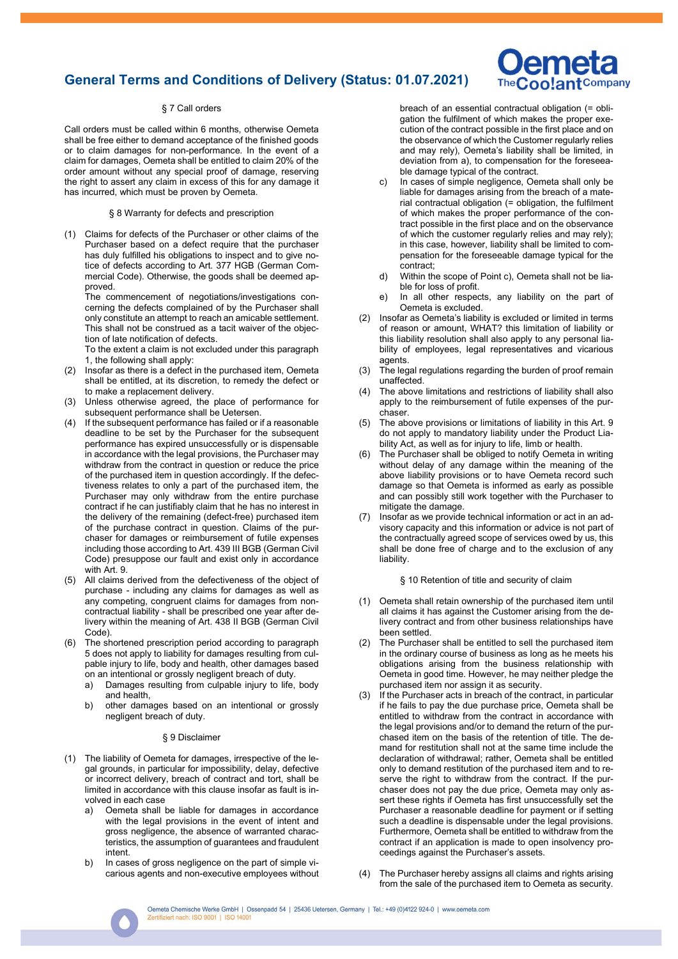# General Terms and Conditions of Delivery (Status: 01.07.2021)

## § 7 Call orders

Call orders must be called within 6 months, otherwise Oemeta shall be free either to demand acceptance of the finished goods or to claim damages for non-performance. In the event of a claim for damages, Oemeta shall be entitled to claim 20% of the order amount without any special proof of damage, reserving the right to assert any claim in excess of this for any damage it has incurred, which must be proven by Oemeta.

### § 8 Warranty for defects and prescription

(1) Claims for defects of the Purchaser or other claims of the Purchaser based on a defect require that the purchaser has duly fulfilled his obligations to inspect and to give notice of defects according to Art. 377 HGB (German Commercial Code). Otherwise, the goods shall be deemed approved.

The commencement of negotiations/investigations concerning the defects complained of by the Purchaser shall only constitute an attempt to reach an amicable settlement. This shall not be construed as a tacit waiver of the objection of late notification of defects.

To the extent a claim is not excluded under this paragraph 1, the following shall apply:

- (2) Insofar as there is a defect in the purchased item, Oemeta shall be entitled, at its discretion, to remedy the defect or to make a replacement delivery.
- (3) Unless otherwise agreed, the place of performance for subsequent performance shall be Uetersen.
- (4) If the subsequent performance has failed or if a reasonable deadline to be set by the Purchaser for the subsequent performance has expired unsuccessfully or is dispensable in accordance with the legal provisions, the Purchaser may withdraw from the contract in question or reduce the price of the purchased item in question accordingly. If the defectiveness relates to only a part of the purchased item, the Purchaser may only withdraw from the entire purchase contract if he can justifiably claim that he has no interest in the delivery of the remaining (defect-free) purchased item of the purchase contract in question. Claims of the purchaser for damages or reimbursement of futile expenses including those according to Art. 439 III BGB (German Civil Code) presuppose our fault and exist only in accordance with Art. 9.
- (5) All claims derived from the defectiveness of the object of purchase - including any claims for damages as well as any competing, congruent claims for damages from noncontractual liability - shall be prescribed one year after delivery within the meaning of Art. 438 II BGB (German Civil Code).
- (6) The shortened prescription period according to paragraph 5 does not apply to liability for damages resulting from culpable injury to life, body and health, other damages based on an intentional or grossly negligent breach of duty.
	- a) Damages resulting from culpable injury to life, body and health,
	- b) other damages based on an intentional or grossly negligent breach of duty.

### § 9 Disclaimer

- (1) The liability of Oemeta for damages, irrespective of the legal grounds, in particular for impossibility, delay, defective or incorrect delivery, breach of contract and tort, shall be limited in accordance with this clause insofar as fault is involved in each case
	- a) Oemeta shall be liable for damages in accordance with the legal provisions in the event of intent and gross negligence, the absence of warranted characteristics, the assumption of guarantees and fraudulent intent.
	- b) In cases of gross negligence on the part of simple vicarious agents and non-executive employees without

breach of an essential contractual obligation (= obligation the fulfilment of which makes the proper execution of the contract possible in the first place and on the observance of which the Customer regularly relies and may rely), Oemeta's liability shall be limited, in deviation from a), to compensation for the foreseeable damage typical of the contract.

**ameta** oo!ant<sup>Company</sup>

- c) In cases of simple negligence, Oemeta shall only be liable for damages arising from the breach of a material contractual obligation (= obligation, the fulfilment of which makes the proper performance of the contract possible in the first place and on the observance of which the customer regularly relies and may rely); in this case, however, liability shall be limited to compensation for the foreseeable damage typical for the contract;
- d) Within the scope of Point c), Oemeta shall not be liable for loss of profit.
- e) In all other respects, any liability on the part of Oemeta is excluded.
- (2) Insofar as Oemeta's liability is excluded or limited in terms of reason or amount, WHAT? this limitation of liability or this liability resolution shall also apply to any personal liability of employees, legal representatives and vicarious agents.
- (3) The legal regulations regarding the burden of proof remain unaffected.
- (4) The above limitations and restrictions of liability shall also apply to the reimbursement of futile expenses of the purchaser.
- (5) The above provisions or limitations of liability in this Art. 9 do not apply to mandatory liability under the Product Liability Act, as well as for injury to life, limb or health.
- The Purchaser shall be obliged to notify Oemeta in writing without delay of any damage within the meaning of the above liability provisions or to have Oemeta record such damage so that Oemeta is informed as early as possible and can possibly still work together with the Purchaser to mitigate the damage.
- (7) Insofar as we provide technical information or act in an advisory capacity and this information or advice is not part of the contractually agreed scope of services owed by us, this shall be done free of charge and to the exclusion of any liability.

§ 10 Retention of title and security of claim

- (1) Oemeta shall retain ownership of the purchased item until all claims it has against the Customer arising from the delivery contract and from other business relationships have been settled.
- (2) The Purchaser shall be entitled to sell the purchased item in the ordinary course of business as long as he meets his obligations arising from the business relationship with Oemeta in good time. However, he may neither pledge the purchased item nor assign it as security.
- (3) If the Purchaser acts in breach of the contract, in particular if he fails to pay the due purchase price, Oemeta shall be entitled to withdraw from the contract in accordance with the legal provisions and/or to demand the return of the purchased item on the basis of the retention of title. The demand for restitution shall not at the same time include the declaration of withdrawal; rather, Oemeta shall be entitled only to demand restitution of the purchased item and to reserve the right to withdraw from the contract. If the purchaser does not pay the due price, Oemeta may only assert these rights if Oemeta has first unsuccessfully set the Purchaser a reasonable deadline for payment or if setting such a deadline is dispensable under the legal provisions. Furthermore, Oemeta shall be entitled to withdraw from the contract if an application is made to open insolvency proceedings against the Purchaser's assets.
- (4) The Purchaser hereby assigns all claims and rights arising from the sale of the purchased item to Oemeta as security.